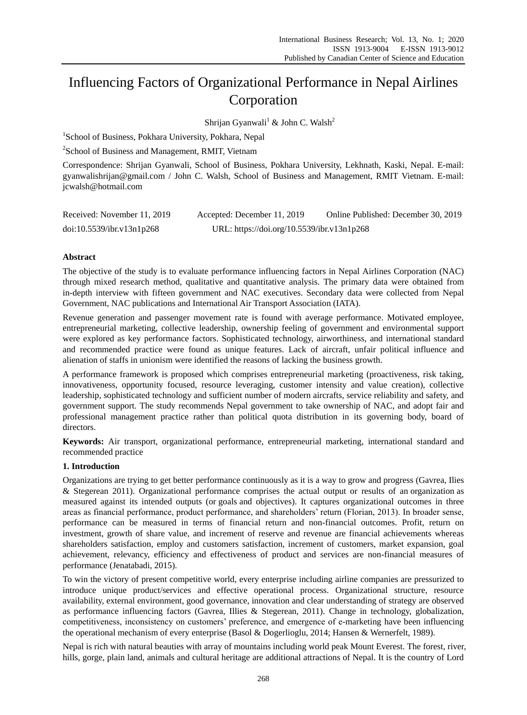# Influencing Factors of Organizational Performance in Nepal Airlines Corporation

Shrijan Gyanwali<sup>1</sup> & John C. Walsh<sup>2</sup>

<sup>1</sup>School of Business, Pokhara University, Pokhara, Nepal

<sup>2</sup>School of Business and Management, RMIT, Vietnam

Correspondence: Shrijan Gyanwali, School of Business, Pokhara University, Lekhnath, Kaski, Nepal. E-mail: gyanwalishrijan@gmail.com / John C. Walsh, School of Business and Management, RMIT Vietnam. E-mail: jcwalsh@hotmail.com

| Received: November 11, 2019 | Accepted: December 11, 2019                | Online Published: December 30, 2019 |
|-----------------------------|--------------------------------------------|-------------------------------------|
| doi:10.5539/ibr.v13n1p268   | URL: https://doi.org/10.5539/ibr.v13n1p268 |                                     |

# **Abstract**

The objective of the study is to evaluate performance influencing factors in Nepal Airlines Corporation (NAC) through mixed research method, qualitative and quantitative analysis. The primary data were obtained from in-depth interview with fifteen government and NAC executives. Secondary data were collected from Nepal Government, NAC publications and International Air Transport Association (IATA).

Revenue generation and passenger movement rate is found with average performance. Motivated employee, entrepreneurial marketing, collective leadership, ownership feeling of government and environmental support were explored as key performance factors. Sophisticated technology, airworthiness, and international standard and recommended practice were found as unique features. Lack of aircraft, unfair political influence and alienation of staffs in unionism were identified the reasons of lacking the business growth.

A performance framework is proposed which comprises entrepreneurial marketing (proactiveness, risk taking, innovativeness, opportunity focused, resource leveraging, customer intensity and value creation), collective leadership, sophisticated technology and sufficient number of modern aircrafts, service reliability and safety, and government support. The study recommends Nepal government to take ownership of NAC, and adopt fair and professional management practice rather than political quota distribution in its governing body, board of directors.

**Keywords:** Air transport, organizational performance, entrepreneurial marketing, international standard and recommended practice

# **1. Introduction**

Organizations are trying to get better performance continuously as it is a way to grow and progress (Gavrea, Ilies & Stegerean 2011). Organizational performance comprises the actual output or results of an organization as measured against its intended outputs (or goals and objectives). It captures organizational outcomes in three areas as financial performance, product performance, and shareholders' return (Florian, 2013). In broader sense, performance can be measured in terms of financial return and non-financial outcomes. Profit, return on investment, growth of share value, and increment of reserve and revenue are financial achievements whereas shareholders satisfaction, employ and customers satisfaction, increment of customers, market expansion, goal achievement, relevancy, efficiency and effectiveness of product and services are non-financial measures of performance (Jenatabadi, 2015).

To win the victory of present competitive world, every enterprise including airline companies are pressurized to introduce unique product/services and effective operational process. Organizational structure, resource availability, external environment, good governance, innovation and clear understanding of strategy are observed as performance influencing factors (Gavrea, Illies & Stegerean, 2011). Change in technology, globalization, competitiveness, inconsistency on customers' preference, and emergence of e-marketing have been influencing the operational mechanism of every enterprise (Basol & Dogerlioglu, 2014; Hansen & Wernerfelt, 1989).

Nepal is rich with natural beauties with array of mountains including world peak Mount Everest. The forest, river, hills, gorge, plain land, animals and cultural heritage are additional attractions of Nepal. It is the country of Lord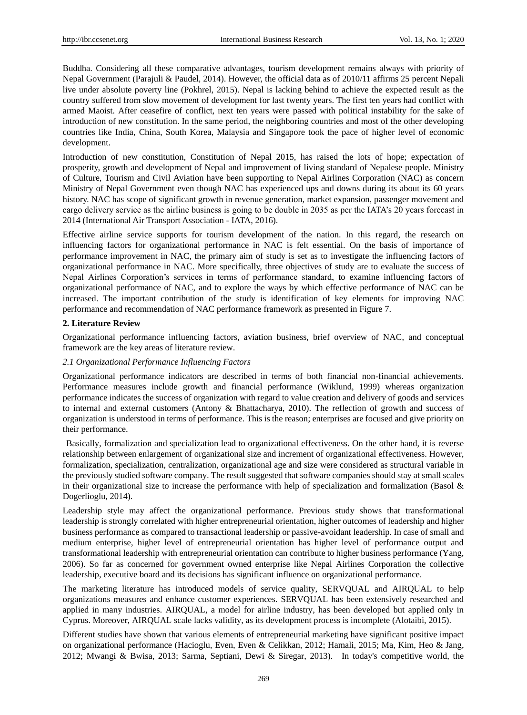Buddha. Considering all these comparative advantages, tourism development remains always with priority of Nepal Government (Parajuli & Paudel, 2014). However, the official data as of 2010/11 affirms 25 percent Nepali live under absolute poverty line (Pokhrel, 2015). Nepal is lacking behind to achieve the expected result as the country suffered from slow movement of development for last twenty years. The first ten years had conflict with armed Maoist. After ceasefire of conflict, next ten years were passed with political instability for the sake of introduction of new constitution. In the same period, the neighboring countries and most of the other developing countries like India, China, South Korea, Malaysia and Singapore took the pace of higher level of economic development.

Introduction of new constitution, Constitution of Nepal 2015, has raised the lots of hope; expectation of prosperity, growth and development of Nepal and improvement of living standard of Nepalese people. Ministry of Culture, Tourism and Civil Aviation have been supporting to Nepal Airlines Corporation (NAC) as concern Ministry of Nepal Government even though NAC has experienced ups and downs during its about its 60 years history. NAC has scope of significant growth in revenue generation, market expansion, passenger movement and cargo delivery service as the airline business is going to be double in 2035 as per the IATA's 20 years forecast in 2014 (International Air Transport Association - IATA, 2016).

Effective airline service supports for tourism development of the nation. In this regard, the research on influencing factors for organizational performance in NAC is felt essential. On the basis of importance of performance improvement in NAC, the primary aim of study is set as to investigate the influencing factors of organizational performance in NAC. More specifically, three objectives of study are to evaluate the success of Nepal Airlines Corporation's services in terms of performance standard, to examine influencing factors of organizational performance of NAC, and to explore the ways by which effective performance of NAC can be increased. The important contribution of the study is identification of key elements for improving NAC performance and recommendation of NAC performance framework as presented in Figure 7.

#### **2. Literature Review**

Organizational performance influencing factors, aviation business, brief overview of NAC, and conceptual framework are the key areas of literature review.

## *2.1 Organizational Performance Influencing Factors*

Organizational performance indicators are described in terms of both financial non-financial achievements. Performance measures include growth and financial performance (Wiklund, 1999) whereas organization performance indicates the success of organization with regard to value creation and delivery of goods and services to internal and external customers (Antony & Bhattacharya, 2010). The reflection of growth and success of organization is understood in terms of performance. This is the reason; enterprises are focused and give priority on their performance.

Basically, formalization and specialization lead to organizational effectiveness. On the other hand, it is reverse relationship between enlargement of organizational size and increment of organizational effectiveness. However, formalization, specialization, centralization, organizational age and size were considered as structural variable in the previously studied software company. The result suggested that software companies should stay at small scales in their organizational size to increase the performance with help of specialization and formalization (Basol  $\&$ Dogerlioglu, 2014).

Leadership style may affect the organizational performance. Previous study shows that transformational leadership is strongly correlated with higher entrepreneurial orientation, higher outcomes of leadership and higher business performance as compared to transactional leadership or passive-avoidant leadership. In case of small and medium enterprise, higher level of entrepreneurial orientation has higher level of performance output and transformational leadership with entrepreneurial orientation can contribute to higher business performance (Yang, 2006). So far as concerned for government owned enterprise like Nepal Airlines Corporation the collective leadership, executive board and its decisions has significant influence on organizational performance.

The marketing literature has introduced models of service quality, SERVQUAL and AIRQUAL to help organizations measures and enhance customer experiences. SERVQUAL has been extensively researched and applied in many industries. AIRQUAL, a model for airline industry, has been developed but applied only in Cyprus. Moreover, AIRQUAL scale lacks validity, as its development process is incomplete (Alotaibi, 2015).

Different studies have shown that various elements of entrepreneurial marketing have significant positive impact on organizational performance (Hacioglu, Even, Even & Celikkan, 2012; Hamali, 2015; Ma, Kim, Heo & Jang, 2012; Mwangi & Bwisa, 2013; Sarma, Septiani, Dewi & Siregar, 2013). In today's competitive world, the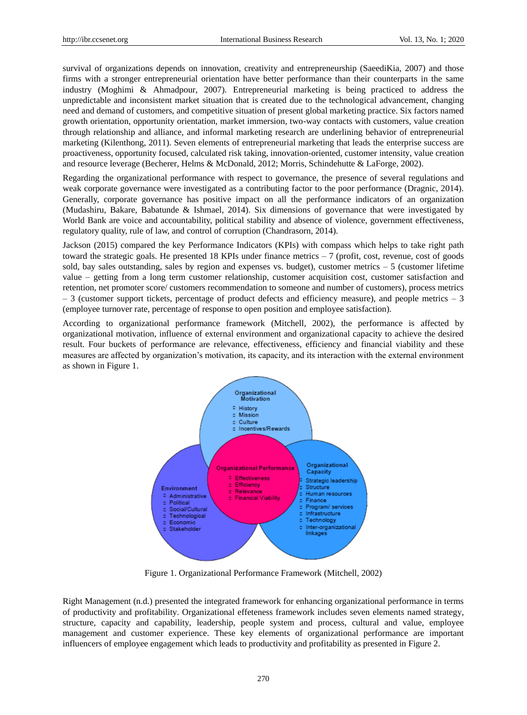survival of organizations depends on innovation, creativity and entrepreneurship (SaeediKia, 2007) and those firms with a stronger entrepreneurial orientation have better performance than their counterparts in the same industry (Moghimi & Ahmadpour, 2007). Entrepreneurial marketing is being practiced to address the unpredictable and inconsistent market situation that is created due to the technological advancement, changing need and demand of customers, and competitive situation of present global marketing practice. Six factors named growth orientation, opportunity orientation, market immersion, two-way contacts with customers, value creation through relationship and alliance, and informal marketing research are underlining behavior of entrepreneurial marketing (Kilenthong, 2011). Seven elements of entrepreneurial marketing that leads the enterprise success are proactiveness, opportunity focused, calculated risk taking, innovation-oriented, customer intensity, value creation and resource leverage (Becherer, Helms & McDonald, 2012; Morris, Schindehutte & LaForge, 2002).

Regarding the organizational performance with respect to governance, the presence of several regulations and weak corporate governance were investigated as a contributing factor to the poor performance (Dragnic, 2014). Generally, corporate governance has positive impact on all the performance indicators of an organization (Mudashiru, Bakare, Babatunde & Ishmael, 2014). Six dimensions of governance that were investigated by World Bank are voice and accountability, political stability and absence of violence, government effectiveness, regulatory quality, rule of law, and control of corruption (Chandrasorn, 2014).

Jackson (2015) compared the key Performance Indicators (KPIs) with compass which helps to take right path toward the strategic goals. He presented 18 KPIs under finance metrics – 7 (profit, cost, revenue, cost of goods sold, bay sales outstanding, sales by region and expenses vs. budget), customer metrics  $-5$  (customer lifetime value – getting from a long term customer relationship, customer acquisition cost, customer satisfaction and retention, net promoter score/ customers recommendation to someone and number of customers), process metrics  $-3$  (customer support tickets, percentage of product defects and efficiency measure), and people metrics  $-3$ (employee turnover rate, percentage of response to open position and employee satisfaction).

According to organizational performance framework (Mitchell, 2002), the performance is affected by organizational motivation, influence of external environment and organizational capacity to achieve the desired result. Four buckets of performance are relevance, effectiveness, efficiency and financial viability and these measures are affected by organization's motivation, its capacity, and its interaction with the external environment as shown in Figure 1.



Figure 1. Organizational Performance Framework (Mitchell, 2002)

Right Management (n.d.) presented the integrated framework for enhancing organizational performance in terms of productivity and profitability. Organizational effeteness framework includes seven elements named strategy, structure, capacity and capability, leadership, people system and process, cultural and value, employee management and customer experience. These key elements of organizational performance are important influencers of employee engagement which leads to productivity and profitability as presented in Figure 2.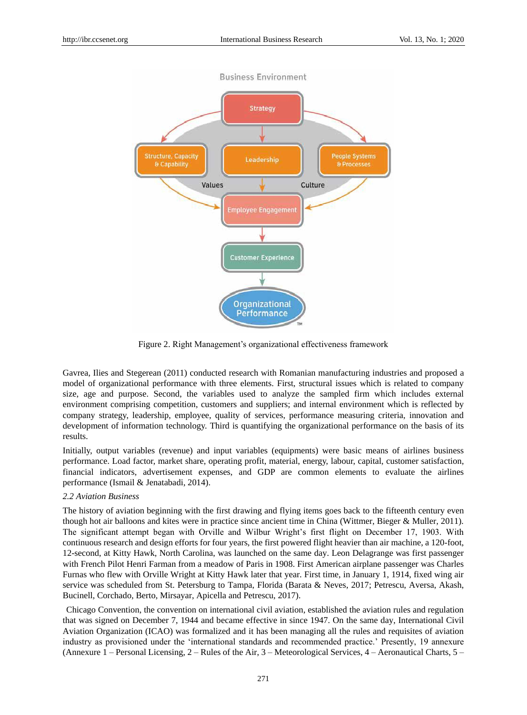

Figure 2. Right Management's organizational effectiveness framework

Gavrea, Ilies and Stegerean (2011) conducted research with Romanian manufacturing industries and proposed a model of organizational performance with three elements. First, structural issues which is related to company size, age and purpose. Second, the variables used to analyze the sampled firm which includes external environment comprising competition, customers and suppliers; and internal environment which is reflected by company strategy, leadership, employee, quality of services, performance measuring criteria, innovation and development of information technology. Third is quantifying the organizational performance on the basis of its results.

Initially, output variables (revenue) and input variables (equipments) were basic means of airlines business performance. Load factor, market share, operating profit, material, energy, labour, capital, customer satisfaction, financial indicators, advertisement expenses, and GDP are common elements to evaluate the airlines performance (Ismail & Jenatabadi, 2014).

#### *2.2 Aviation Business*

The history of aviation beginning with the first drawing and flying items goes back to the fifteenth century even though hot air balloons and kites were in practice since ancient time in China (Wittmer, Bieger & Muller, 2011). The significant attempt began with Orville and Wilbur Wright's first flight on December 17, 1903. With continuous research and design efforts for four years, the first powered flight heavier than air machine, a 120-foot, 12-second, at Kitty Hawk, North Carolina, was launched on the same day. Leon Delagrange was first passenger with French Pilot Henri Farman from a meadow of Paris in 1908. First American airplane passenger was Charles Furnas who flew with Orville Wright at Kitty Hawk later that year. First time, in January 1, 1914, fixed wing air service was scheduled from St. Petersburg to Tampa, Florida (Barata & Neves, 2017; Petrescu, Aversa, Akash, Bucinell, Corchado, Berto, Mirsayar, Apicella and Petrescu, 2017).

Chicago Convention, the convention on international civil aviation, established the aviation rules and regulation that was signed on December 7, 1944 and became effective in since 1947. On the same day, International Civil Aviation Organization (ICAO) was formalized and it has been managing all the rules and requisites of aviation industry as provisioned under the 'international standards and recommended practice.' Presently, 19 annexure (Annexure 1 – Personal Licensing,  $2$  – Rules of the Air,  $3$  – Meteorological Services,  $4$  – Aeronautical Charts,  $5$  –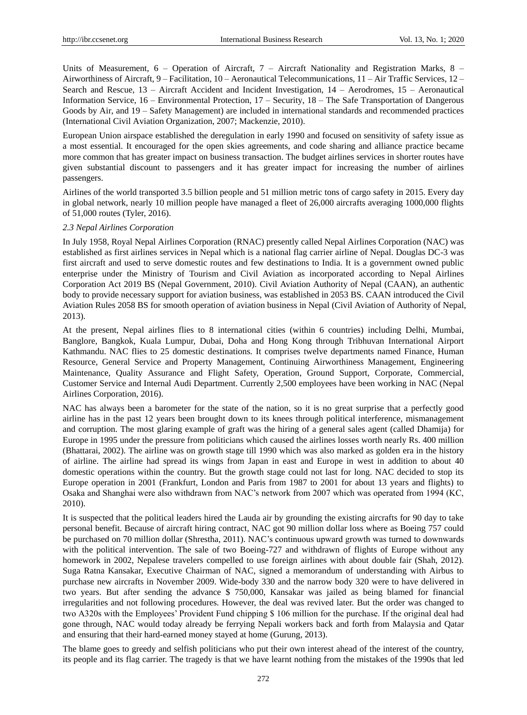Units of Measurement, 6 – Operation of Aircraft, 7 – Aircraft Nationality and Registration Marks, 8 – Airworthiness of Aircraft, 9 – Facilitation, 10 – Aeronautical Telecommunications, 11 – Air Traffic Services, 12 – Search and Rescue, 13 – Aircraft Accident and Incident Investigation, 14 – Aerodromes, 15 – Aeronautical Information Service, 16 – Environmental Protection, 17 – Security, 18 – The Safe Transportation of Dangerous Goods by Air, and 19 – Safety Management) are included in international standards and recommended practices (International Civil Aviation Organization, 2007; Mackenzie, 2010).

European Union airspace established the deregulation in early 1990 and focused on sensitivity of safety issue as a most essential. It encouraged for the open skies agreements, and code sharing and alliance practice became more common that has greater impact on business transaction. The budget airlines services in shorter routes have given substantial discount to passengers and it has greater impact for increasing the number of airlines passengers.

Airlines of the world transported 3.5 billion people and 51 million metric tons of cargo safety in 2015. Every day in global network, nearly 10 million people have managed a fleet of 26,000 aircrafts averaging 1000,000 flights of 51,000 routes (Tyler, 2016).

#### *2.3 Nepal Airlines Corporation*

In July 1958, Royal Nepal Airlines Corporation (RNAC) presently called Nepal Airlines Corporation (NAC) was established as first airlines services in Nepal which is a national flag carrier airline of Nepal. Douglas DC-3 was first aircraft and used to serve domestic routes and few destinations to India. It is a government owned public enterprise under the Ministry of Tourism and Civil Aviation as incorporated according to Nepal Airlines Corporation Act 2019 BS (Nepal Government, 2010). Civil Aviation Authority of Nepal (CAAN), an authentic body to provide necessary support for aviation business, was established in 2053 BS. CAAN introduced the Civil Aviation Rules 2058 BS for smooth operation of aviation business in Nepal (Civil Aviation of Authority of Nepal, 2013).

At the present, Nepal airlines flies to 8 international cities (within 6 countries) including Delhi, Mumbai, Banglore, Bangkok, Kuala Lumpur, Dubai, Doha and Hong Kong through Tribhuvan International Airport Kathmandu. NAC flies to 25 domestic destinations. It comprises twelve departments named Finance, Human Resource, General Service and Property Management, Continuing Airworthiness Management, Engineering Maintenance, Quality Assurance and Flight Safety, Operation, Ground Support, Corporate, Commercial, Customer Service and Internal Audi Department. Currently 2,500 employees have been working in NAC (Nepal Airlines Corporation, 2016).

NAC has always been a barometer for the state of the nation, so it is no great surprise that a perfectly good airline has in the past 12 years been brought down to its knees through political interference, mismanagement and corruption. The most glaring example of graft was the hiring of a general sales agent (called Dhamija) for Europe in 1995 under the pressure from politicians which caused the airlines losses worth nearly Rs. 400 million (Bhattarai, 2002). The airline was on growth stage till 1990 which was also marked as golden era in the history of airline. The airline had spread its wings from Japan in east and Europe in west in addition to about 40 domestic operations within the country. But the growth stage could not last for long. NAC decided to stop its Europe operation in 2001 (Frankfurt, London and Paris from 1987 to 2001 for about 13 years and flights) to Osaka and Shanghai were also withdrawn from NAC's network from 2007 which was operated from 1994 (KC, 2010).

It is suspected that the political leaders hired the Lauda air by grounding the existing aircrafts for 90 day to take personal benefit. Because of aircraft hiring contract, NAC got 90 million dollar loss where as Boeing 757 could be purchased on 70 million dollar (Shrestha, 2011). NAC's continuous upward growth was turned to downwards with the political intervention. The sale of two Boeing-727 and withdrawn of flights of Europe without any homework in 2002, Nepalese travelers compelled to use foreign airlines with about double fair (Shah, 2012). Suga Ratna Kansakar, Executive Chairman of NAC, signed a memorandum of understanding with Airbus to purchase new aircrafts in November 2009. Wide-body 330 and the narrow body 320 were to have delivered in two years. But after sending the advance \$ 750,000, Kansakar was jailed as being blamed for financial irregularities and not following procedures. However, the deal was revived later. But the order was changed to two A320s with the Employees' Provident Fund chipping \$ 106 million for the purchase. If the original deal had gone through, NAC would today already be ferrying Nepali workers back and forth from Malaysia and Qatar and ensuring that their hard-earned money stayed at home (Gurung, 2013).

The blame goes to greedy and selfish politicians who put their own interest ahead of the interest of the country, its people and its flag carrier. The tragedy is that we have learnt nothing from the mistakes of the 1990s that led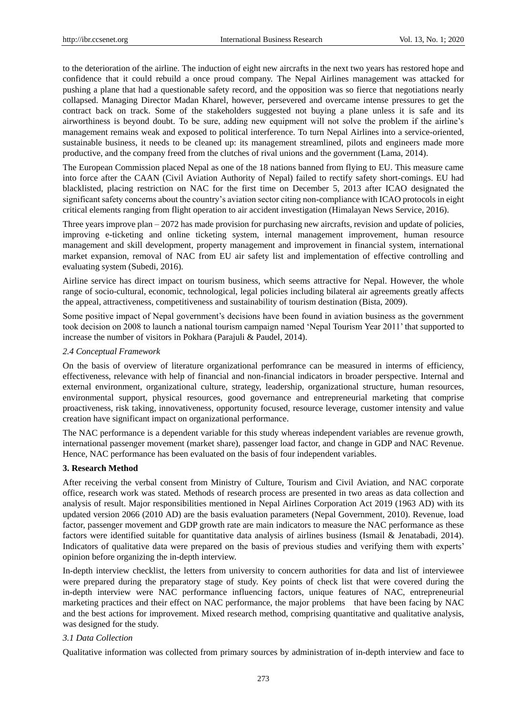to the deterioration of the airline. The induction of eight new aircrafts in the next two years has restored hope and confidence that it could rebuild a once proud company. The Nepal Airlines management was attacked for pushing a plane that had a questionable safety record, and the opposition was so fierce that negotiations nearly collapsed. Managing Director Madan Kharel, however, persevered and overcame intense pressures to get the contract back on track. Some of the stakeholders suggested not buying a plane unless it is safe and its airworthiness is beyond doubt. To be sure, adding new equipment will not solve the problem if the airline's management remains weak and exposed to political interference. To turn Nepal Airlines into a service-oriented, sustainable business, it needs to be cleaned up: its management streamlined, pilots and engineers made more productive, and the company freed from the clutches of rival unions and the government (Lama, 2014).

The European Commission placed Nepal as one of the 18 nations banned from flying to EU. This measure came into force after the CAAN (Civil Aviation Authority of Nepal) failed to rectify safety short-comings. EU had blacklisted, placing restriction on NAC for the first time on December 5, 2013 after ICAO designated the significant safety concerns about the country's aviation sector citing non-compliance with ICAO protocols in eight critical elements ranging from flight operation to air accident investigation (Himalayan News Service, 2016).

Three years improve plan  $-2072$  has made provision for purchasing new aircrafts, revision and update of policies, improving e-ticketing and online ticketing system, internal management improvement, human resource management and skill development, property management and improvement in financial system, international market expansion, removal of NAC from EU air safety list and implementation of effective controlling and evaluating system (Subedi, 2016).

Airline service has direct impact on tourism business, which seems attractive for Nepal. However, the whole range of socio-cultural, economic, technological, legal policies including bilateral air agreements greatly affects the appeal, attractiveness, competitiveness and sustainability of tourism destination (Bista, 2009).

Some positive impact of Nepal government's decisions have been found in aviation business as the government took decision on 2008 to launch a national tourism campaign named 'Nepal Tourism Year 2011' that supported to increase the number of visitors in Pokhara (Parajuli & Paudel, 2014).

#### *2.4 Conceptual Framework*

On the basis of overview of literature organizational perfomrance can be measured in interms of efficiency, effectiveness, relevance with help of financial and non-financial indicators in broader perspective. Internal and external environment, organizational culture, strategy, leadership, organizational structure, human resources, environmental support, physical resources, good governance and entrepreneurial marketing that comprise proactiveness, risk taking, innovativeness, opportunity focused, resource leverage, customer intensity and value creation have significant impact on organizational performance.

The NAC performance is a dependent variable for this study whereas independent variables are revenue growth, international passenger movement (market share), passenger load factor, and change in GDP and NAC Revenue. Hence, NAC performance has been evaluated on the basis of four independent variables.

#### **3. Research Method**

After receiving the verbal consent from Ministry of Culture, Tourism and Civil Aviation, and NAC corporate office, research work was stated. Methods of research process are presented in two areas as data collection and analysis of result. Major responsibilities mentioned in Nepal Airlines Corporation Act 2019 (1963 AD) with its updated version 2066 (2010 AD) are the basis evaluation parameters (Nepal Government, 2010). Revenue, load factor, passenger movement and GDP growth rate are main indicators to measure the NAC performance as these factors were identified suitable for quantitative data analysis of airlines business (Ismail & Jenatabadi, 2014). Indicators of qualitative data were prepared on the basis of previous studies and verifying them with experts' opinion before organizing the in-depth interview.

In-depth interview checklist, the letters from university to concern authorities for data and list of interviewee were prepared during the preparatory stage of study. Key points of check list that were covered during the in-depth interview were NAC performance influencing factors, unique features of NAC, entrepreneurial marketing practices and their effect on NAC performance, the major problems that have been facing by NAC and the best actions for improvement. Mixed research method, comprising quantitative and qualitative analysis, was designed for the study.

# *3.1 Data Collection*

Qualitative information was collected from primary sources by administration of in-depth interview and face to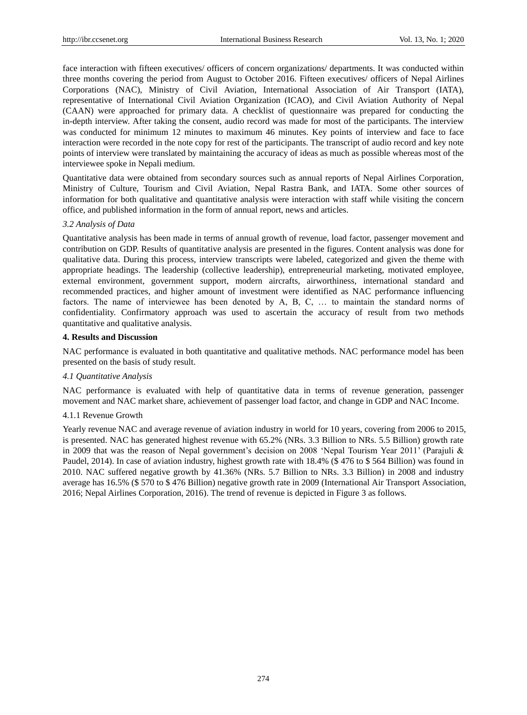face interaction with fifteen executives/ officers of concern organizations/ departments. It was conducted within three months covering the period from August to October 2016. Fifteen executives/ officers of Nepal Airlines Corporations (NAC), Ministry of Civil Aviation, International Association of Air Transport (IATA), representative of International Civil Aviation Organization (ICAO), and Civil Aviation Authority of Nepal (CAAN) were approached for primary data. A checklist of questionnaire was prepared for conducting the in-depth interview. After taking the consent, audio record was made for most of the participants. The interview was conducted for minimum 12 minutes to maximum 46 minutes. Key points of interview and face to face interaction were recorded in the note copy for rest of the participants. The transcript of audio record and key note points of interview were translated by maintaining the accuracy of ideas as much as possible whereas most of the interviewee spoke in Nepali medium.

Quantitative data were obtained from secondary sources such as annual reports of Nepal Airlines Corporation, Ministry of Culture, Tourism and Civil Aviation, Nepal Rastra Bank, and IATA. Some other sources of information for both qualitative and quantitative analysis were interaction with staff while visiting the concern office, and published information in the form of annual report, news and articles.

# *3.2 Analysis of Data*

Quantitative analysis has been made in terms of annual growth of revenue, load factor, passenger movement and contribution on GDP. Results of quantitative analysis are presented in the figures. Content analysis was done for qualitative data. During this process, interview transcripts were labeled, categorized and given the theme with appropriate headings. The leadership (collective leadership), entrepreneurial marketing, motivated employee, external environment, government support, modern aircrafts, airworthiness, international standard and recommended practices, and higher amount of investment were identified as NAC performance influencing factors. The name of interviewee has been denoted by A, B, C, … to maintain the standard norms of confidentiality. Confirmatory approach was used to ascertain the accuracy of result from two methods quantitative and qualitative analysis.

# **4. Results and Discussion**

NAC performance is evaluated in both quantitative and qualitative methods. NAC performance model has been presented on the basis of study result.

# *4.1 Quantitative Analysis*

NAC performance is evaluated with help of quantitative data in terms of revenue generation, passenger movement and NAC market share, achievement of passenger load factor, and change in GDP and NAC Income.

# 4.1.1 Revenue Growth

Yearly revenue NAC and average revenue of aviation industry in world for 10 years, covering from 2006 to 2015, is presented. NAC has generated highest revenue with 65.2% (NRs. 3.3 Billion to NRs. 5.5 Billion) growth rate in 2009 that was the reason of Nepal government's decision on 2008 'Nepal Tourism Year 2011' (Parajuli & Paudel, 2014). In case of aviation industry, highest growth rate with 18.4% (\$ 476 to \$ 564 Billion) was found in 2010. NAC suffered negative growth by 41.36% (NRs. 5.7 Billion to NRs. 3.3 Billion) in 2008 and industry average has 16.5% (\$ 570 to \$ 476 Billion) negative growth rate in 2009 (International Air Transport Association, 2016; Nepal Airlines Corporation, 2016). The trend of revenue is depicted in Figure 3 as follows.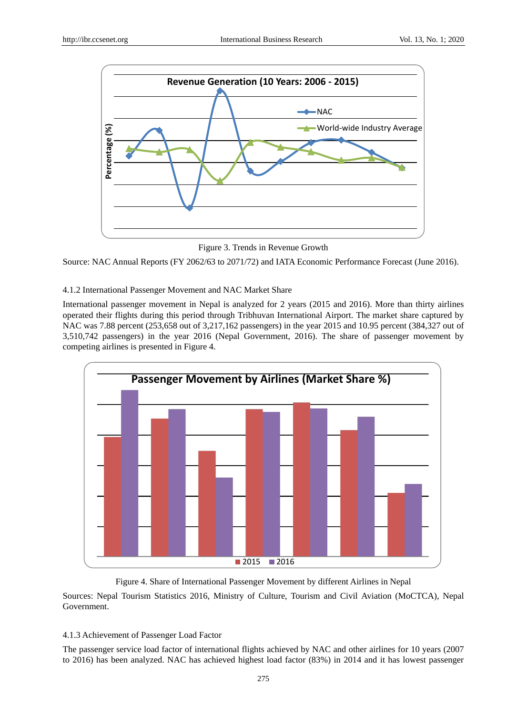

Figure 3. Trends in Revenue Growth

Source: NAC Annual Reports (FY 2062/63 to 2071/72) and IATA Economic Performance Forecast (June 2016).

# 4.1.2 International Passenger Movement and NAC Market Share

International passenger movement in Nepal is analyzed for 2 years (2015 and 2016). More than thirty airlines operated their flights during this period through Tribhuvan International Airport. The market share captured by NAC was 7.88 percent (253,658 out of 3,217,162 passengers) in the year 2015 and 10.95 percent (384,327 out of 3,510,742 passengers) in the year 2016 (Nepal Government, 2016). The share of passenger movement by competing airlines is presented in Figure 4.



# Figure 4. Share of International Passenger Movement by different Airlines in Nepal

Sources: Nepal Tourism Statistics 2016, Ministry of Culture, Tourism and Civil Aviation (MoCTCA), Nepal Government.

# 4.1.3 Achievement of Passenger Load Factor

The passenger service load factor of international flights achieved by NAC and other airlines for 10 years (2007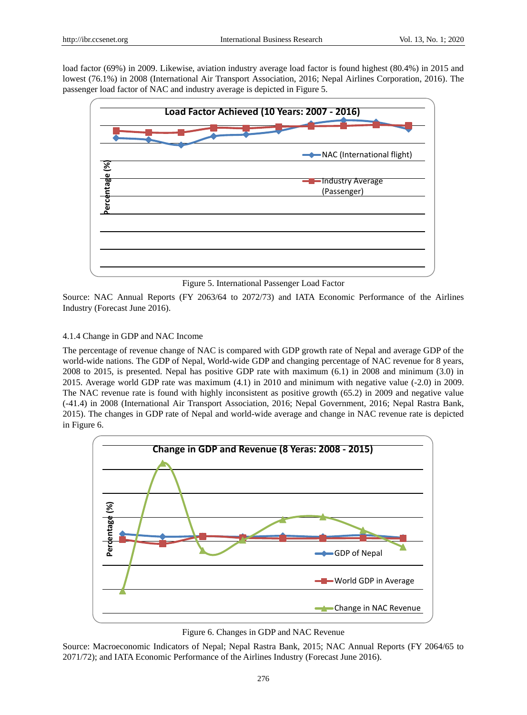load factor (69%) in 2009. Likewise, aviation industry average load factor is found highest (80.4%) in 2015 and lowest (76.1%) in 2008 (International Air Transport Association, 2016; Nepal Airlines Corporation, 2016). The passenger load factor of NAC and industry average is depicted in Figure 5.



Figure 5. International Passenger Load Factor

Source: NAC Annual Reports (FY 2063/64 to 2072/73) and IATA Economic Performance of the Airlines Industry (Forecast June 2016).

#### 4.1.4 Change in GDP and NAC Income

The percentage of revenue change of NAC is compared with GDP growth rate of Nepal and average GDP of the world-wide nations. The GDP of Nepal, World-wide GDP and changing percentage of NAC revenue for 8 years, 2008 to 2015, is presented. Nepal has positive GDP rate with maximum (6.1) in 2008 and minimum (3.0) in 2015. Average world GDP rate was maximum (4.1) in 2010 and minimum with negative value (-2.0) in 2009. The NAC revenue rate is found with highly inconsistent as positive growth (65.2) in 2009 and negative value (-41.4) in 2008 (International Air Transport Association, 2016; Nepal Government, 2016; Nepal Rastra Bank, 2015). The changes in GDP rate of Nepal and world-wide average and change in NAC revenue rate is depicted in Figure 6.



Figure 6. Changes in GDP and NAC Revenue

Source: Macroeconomic Indicators of Nepal; Nepal Rastra Bank, 2015; NAC Annual Reports (FY 2064/65 to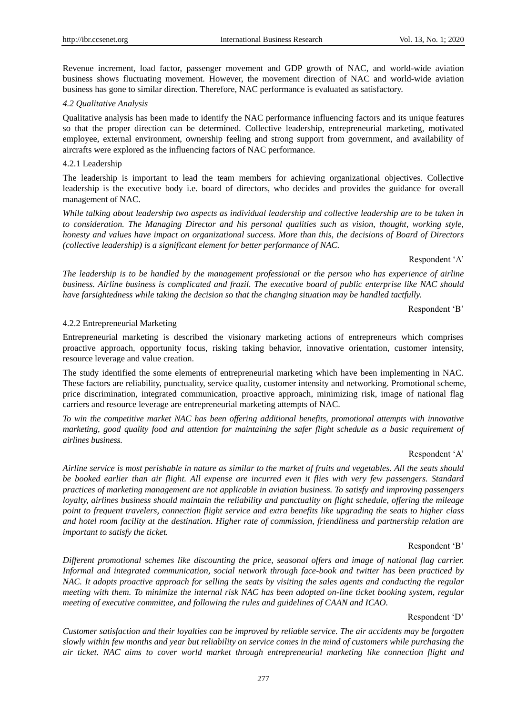Revenue increment, load factor, passenger movement and GDP growth of NAC, and world-wide aviation business shows fluctuating movement. However, the movement direction of NAC and world-wide aviation business has gone to similar direction. Therefore, NAC performance is evaluated as satisfactory.

## *4.2 Qualitative Analysis*

Qualitative analysis has been made to identify the NAC performance influencing factors and its unique features so that the proper direction can be determined. Collective leadership, entrepreneurial marketing, motivated employee, external environment, ownership feeling and strong support from government, and availability of aircrafts were explored as the influencing factors of NAC performance.

## 4.2.1 Leadership

The leadership is important to lead the team members for achieving organizational objectives. Collective leadership is the executive body i.e. board of directors, who decides and provides the guidance for overall management of NAC.

*While talking about leadership two aspects as individual leadership and collective leadership are to be taken in to consideration. The Managing Director and his personal qualities such as vision, thought, working style, honesty and values have impact on organizational success. More than this, the decisions of Board of Directors (collective leadership) is a significant element for better performance of NAC.*

Respondent 'A'

*The leadership is to be handled by the management professional or the person who has experience of airline business. Airline business is complicated and frazil. The executive board of public enterprise like NAC should have farsightedness while taking the decision so that the changing situation may be handled tactfully.*

Respondent 'B'

#### 4.2.2 Entrepreneurial Marketing

Entrepreneurial marketing is described the visionary marketing actions of entrepreneurs which comprises proactive approach, opportunity focus, risking taking behavior, innovative orientation, customer intensity, resource leverage and value creation.

The study identified the some elements of entrepreneurial marketing which have been implementing in NAC. These factors are reliability, punctuality, service quality, customer intensity and networking. Promotional scheme, price discrimination, integrated communication, proactive approach, minimizing risk, image of national flag carriers and resource leverage are entrepreneurial marketing attempts of NAC.

*To win the competitive market NAC has been offering additional benefits, promotional attempts with innovative marketing, good quality food and attention for maintaining the safer flight schedule as a basic requirement of airlines business.*

#### Respondent 'A'

*Airline service is most perishable in nature as similar to the market of fruits and vegetables. All the seats should be booked earlier than air flight. All expense are incurred even it flies with very few passengers. Standard practices of marketing management are not applicable in aviation business. To satisfy and improving passengers loyalty, airlines business should maintain the reliability and punctuality on flight schedule, offering the mileage point to frequent travelers, connection flight service and extra benefits like upgrading the seats to higher class and hotel room facility at the destination. Higher rate of commission, friendliness and partnership relation are important to satisfy the ticket.* 

#### Respondent 'B'

*Different promotional schemes like discounting the price, seasonal offers and image of national flag carrier. Informal and integrated communication, social network through face-book and twitter has been practiced by NAC. It adopts proactive approach for selling the seats by visiting the sales agents and conducting the regular meeting with them. To minimize the internal risk NAC has been adopted on-line ticket booking system, regular meeting of executive committee, and following the rules and guidelines of CAAN and ICAO.*

#### Respondent 'D'

*Customer satisfaction and their loyalties can be improved by reliable service. The air accidents may be forgotten slowly within few months and year but reliability on service comes in the mind of customers while purchasing the air ticket. NAC aims to cover world market through entrepreneurial marketing like connection flight and*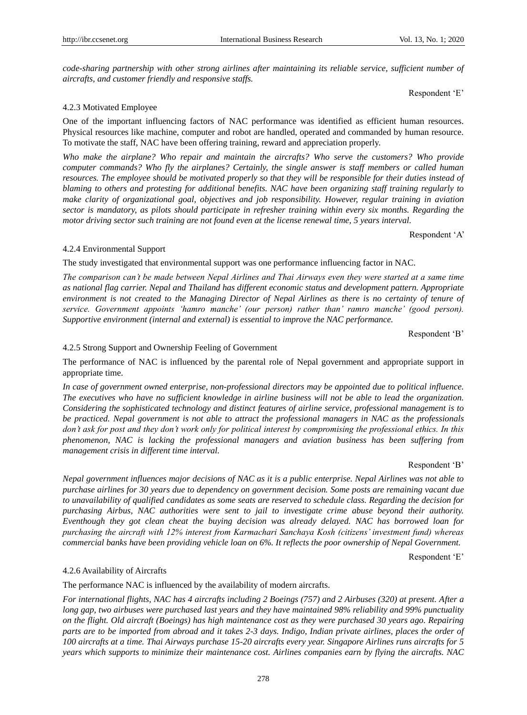*code-sharing partnership with other strong airlines after maintaining its reliable service, sufficient number of aircrafts, and customer friendly and responsive staffs.*

Respondent 'E'

# 4.2.3 Motivated Employee

One of the important influencing factors of NAC performance was identified as efficient human resources. Physical resources like machine, computer and robot are handled, operated and commanded by human resource. To motivate the staff, NAC have been offering training, reward and appreciation properly.

*Who make the airplane? Who repair and maintain the aircrafts? Who serve the customers? Who provide computer commands? Who fly the airplanes? Certainly, the single answer is staff members or called human resources. The employee should be motivated properly so that they will be responsible for their duties instead of blaming to others and protesting for additional benefits. NAC have been organizing staff training regularly to make clarity of organizational goal, objectives and job responsibility. However, regular training in aviation sector is mandatory, as pilots should participate in refresher training within every six months. Regarding the motor driving sector such training are not found even at the license renewal time, 5 years interval.*

Respondent 'A'

#### 4.2.4 Environmental Support

The study investigated that environmental support was one performance influencing factor in NAC.

*The comparison can't be made between Nepal Airlines and Thai Airways even they were started at a same time as national flag carrier. Nepal and Thailand has different economic status and development pattern. Appropriate environment is not created to the Managing Director of Nepal Airlines as there is no certainty of tenure of service. Government appoints 'hamro manche' (our person) rather than' ramro manche' (good person). Supportive environment (internal and external) is essential to improve the NAC performance.*

Respondent 'B'

# 4.2.5 Strong Support and Ownership Feeling of Government

The performance of NAC is influenced by the parental role of Nepal government and appropriate support in appropriate time.

*In case of government owned enterprise, non-professional directors may be appointed due to political influence. The executives who have no sufficient knowledge in airline business will not be able to lead the organization. Considering the sophisticated technology and distinct features of airline service, professional management is to be practiced. Nepal government is not able to attract the professional managers in NAC as the professionals don't ask for post and they don't work only for political interest by compromising the professional ethics. In this phenomenon, NAC is lacking the professional managers and aviation business has been suffering from management crisis in different time interval.*

#### Respondent 'B'

*Nepal government influences major decisions of NAC as it is a public enterprise. Nepal Airlines was not able to purchase airlines for 30 years due to dependency on government decision. Some posts are remaining vacant due to unavailability of qualified candidates as some seats are reserved to schedule class. Regarding the decision for purchasing Airbus, NAC authorities were sent to jail to investigate crime abuse beyond their authority. Eventhough they got clean cheat the buying decision was already delayed. NAC has borrowed loan for purchasing the aircraft with 12% interest from Karmachari Sanchaya Kosh (citizens' investment fund) whereas commercial banks have been providing vehicle loan on 6%. It reflects the poor ownership of Nepal Government.*

Respondent 'E'

#### 4.2.6 Availability of Aircrafts

The performance NAC is influenced by the availability of modern aircrafts.

*For international flights, NAC has 4 aircrafts including 2 Boeings (757) and 2 Airbuses (320) at present. After a long gap, two airbuses were purchased last years and they have maintained 98% reliability and 99% punctuality on the flight. Old aircraft (Boeings) has high maintenance cost as they were purchased 30 years ago. Repairing parts are to be imported from abroad and it takes 2-3 days. Indigo, Indian private airlines, places the order of 100 aircrafts at a time. Thai Airways purchase 15-20 aircrafts every year. Singapore Airlines runs aircrafts for 5 years which supports to minimize their maintenance cost. Airlines companies earn by flying the aircrafts. NAC*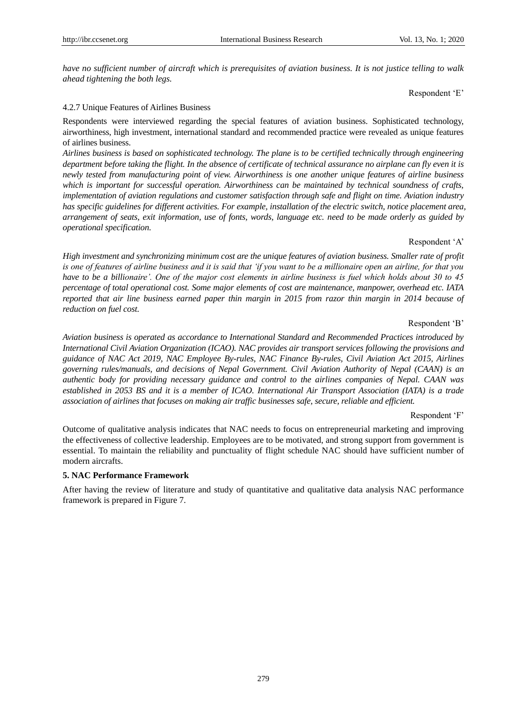*have no sufficient number of aircraft which is prerequisites of aviation business. It is not justice telling to walk ahead tightening the both legs.*

Respondent 'E'

## 4.2.7 Unique Features of Airlines Business

Respondents were interviewed regarding the special features of aviation business. Sophisticated technology, airworthiness, high investment, international standard and recommended practice were revealed as unique features of airlines business.

*Airlines business is based on sophisticated technology. The plane is to be certified technically through engineering department before taking the flight. In the absence of certificate of technical assurance no airplane can fly even it is newly tested from manufacturing point of view. Airworthiness is one another unique features of airline business which is important for successful operation. Airworthiness can be maintained by technical soundness of crafts, implementation of aviation regulations and customer satisfaction through safe and flight on time. Aviation industry has specific guidelines for different activities. For example, installation of the electric switch, notice placement area, arrangement of seats, exit information, use of fonts, words, language etc. need to be made orderly as guided by operational specification.*

#### Respondent 'A'

*High investment and synchronizing minimum cost are the unique features of aviation business. Smaller rate of profit is one of features of airline business and it is said that 'if you want to be a millionaire open an airline, for that you have to be a billionaire'. One of the major cost elements in airline business is fuel which holds about 30 to 45 percentage of total operational cost. Some major elements of cost are maintenance, manpower, overhead etc. IATA reported that air line business earned paper thin margin in 2015 from razor thin margin in 2014 because of reduction on fuel cost.* 

# Respondent 'B'

*Aviation business is operated as accordance to International Standard and Recommended Practices introduced by International Civil Aviation Organization (ICAO). NAC provides air transport services following the provisions and guidance of NAC Act 2019, NAC Employee By-rules, NAC Finance By-rules, Civil Aviation Act 2015, Airlines governing rules/manuals, and decisions of Nepal Government. Civil Aviation Authority of Nepal (CAAN) is an authentic body for providing necessary guidance and control to the airlines companies of Nepal. CAAN was established in 2053 BS and it is a member of ICAO. International Air Transport Association (IATA) is a trade association of airlines that focuses on making air traffic businesses safe, secure, reliable and efficient.*

#### Respondent 'F'

Outcome of qualitative analysis indicates that NAC needs to focus on entrepreneurial marketing and improving the effectiveness of collective leadership. Employees are to be motivated, and strong support from government is essential. To maintain the reliability and punctuality of flight schedule NAC should have sufficient number of modern aircrafts.

# **5. NAC Performance Framework**

After having the review of literature and study of quantitative and qualitative data analysis NAC performance framework is prepared in Figure 7.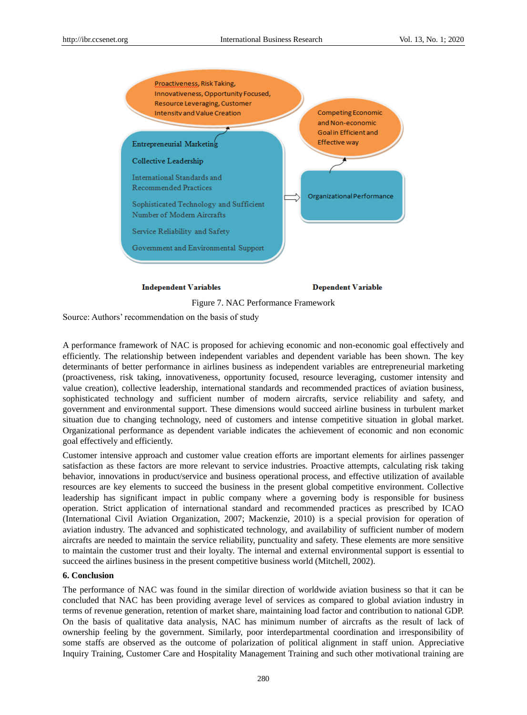

Figure 7. NAC Performance Framework

Source: Authors' recommendation on the basis of study

A performance framework of NAC is proposed for achieving economic and non-economic goal effectively and efficiently. The relationship between independent variables and dependent variable has been shown. The key determinants of better performance in airlines business as independent variables are entrepreneurial marketing (proactiveness, risk taking, innovativeness, opportunity focused, resource leveraging, customer intensity and value creation), collective leadership, international standards and recommended practices of aviation business, sophisticated technology and sufficient number of modern aircrafts, service reliability and safety, and government and environmental support. These dimensions would succeed airline business in turbulent market situation due to changing technology, need of customers and intense competitive situation in global market. Organizational performance as dependent variable indicates the achievement of economic and non economic goal effectively and efficiently.

Customer intensive approach and customer value creation efforts are important elements for airlines passenger satisfaction as these factors are more relevant to service industries. Proactive attempts, calculating risk taking behavior, innovations in product/service and business operational process, and effective utilization of available resources are key elements to succeed the business in the present global competitive environment. Collective leadership has significant impact in public company where a governing body is responsible for business operation. Strict application of international standard and recommended practices as prescribed by ICAO (International Civil Aviation Organization, 2007; Mackenzie, 2010) is a special provision for operation of aviation industry. The advanced and sophisticated technology, and availability of sufficient number of modern aircrafts are needed to maintain the service reliability, punctuality and safety. These elements are more sensitive to maintain the customer trust and their loyalty. The internal and external environmental support is essential to succeed the airlines business in the present competitive business world (Mitchell, 2002).

#### **6. Conclusion**

The performance of NAC was found in the similar direction of worldwide aviation business so that it can be concluded that NAC has been providing average level of services as compared to global aviation industry in terms of revenue generation, retention of market share, maintaining load factor and contribution to national GDP. On the basis of qualitative data analysis, NAC has minimum number of aircrafts as the result of lack of ownership feeling by the government. Similarly, poor interdepartmental coordination and irresponsibility of some staffs are observed as the outcome of polarization of political alignment in staff union. Appreciative Inquiry Training, Customer Care and Hospitality Management Training and such other motivational training are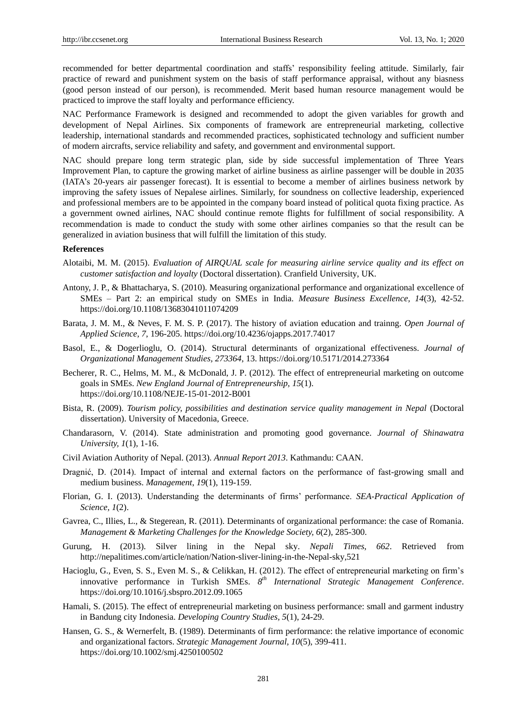recommended for better departmental coordination and staffs' responsibility feeling attitude. Similarly, fair practice of reward and punishment system on the basis of staff performance appraisal, without any biasness (good person instead of our person), is recommended. Merit based human resource management would be practiced to improve the staff loyalty and performance efficiency.

NAC Performance Framework is designed and recommended to adopt the given variables for growth and development of Nepal Airlines. Six components of framework are entrepreneurial marketing, collective leadership, international standards and recommended practices, sophisticated technology and sufficient number of modern aircrafts, service reliability and safety, and government and environmental support.

NAC should prepare long term strategic plan, side by side successful implementation of Three Years Improvement Plan, to capture the growing market of airline business as airline passenger will be double in 2035 (IATA's 20-years air passenger forecast). It is essential to become a member of airlines business network by improving the safety issues of Nepalese airlines. Similarly, for soundness on collective leadership, experienced and professional members are to be appointed in the company board instead of political quota fixing practice. As a government owned airlines, NAC should continue remote flights for fulfillment of social responsibility. A recommendation is made to conduct the study with some other airlines companies so that the result can be generalized in aviation business that will fulfill the limitation of this study.

#### **References**

- Alotaibi, M. M. (2015). *Evaluation of AIRQUAL scale for measuring airline service quality and its effect on customer satisfaction and loyalty* (Doctoral dissertation). Cranfield University, UK.
- Antony, J. P., & Bhattacharya, S. (2010). Measuring organizational performance and organizational excellence of SMEs – Part 2: an empirical study on SMEs in India. *Measure Business Excellence, 14*(3), 42-52. https://doi.org/10.1108/13683041011074209
- Barata, J. M. M., & Neves, F. M. S. P. (2017). The history of aviation education and trainng. *Open Journal of Applied Science, 7*, 196-205. https://doi.org/10.4236/ojapps.2017.74017
- Basol, E., & Dogerlioglu, O. (2014). Structural determinants of organizational effectiveness. *Journal of Organizational Management Studies, 273364*, 13. https://doi.org/10.5171/2014.273364
- Becherer, R. C., Helms, M. M., & McDonald, J. P. (2012). The effect of entrepreneurial marketing on outcome goals in SMEs. *New England Journal of Entrepreneurship, 15*(1). https://doi.org/10.1108/NEJE-15-01-2012-B001
- Bista, R. (2009). *Tourism policy, possibilities and destination service quality management in Nepal* (Doctoral dissertation). University of Macedonia, Greece.
- Chandarasorn, V. (2014). State administration and promoting good governance. *Journal of Shinawatra University, 1*(1), 1-16.
- Civil Aviation Authority of Nepal. (2013). *Annual Report 2013*. Kathmandu: CAAN.
- Dragnić, D. (2014). Impact of internal and external factors on the performance of fast-growing small and medium business. *Management*, *19*(1), 119-159.
- Florian, G. I. (2013). Understanding the determinants of firms' performance. *SEA-Practical Application of Science, 1*(2).
- Gavrea, C., Illies, L., & Stegerean, R. (2011). Determinants of organizational performance: the case of Romania. *Management & Marketing Challenges for the Knowledge Society, 6*(2), 285-300.
- Gurung, H. (2013). Silver lining in the Nepal sky. *Nepali Times*, *662*. Retrieved from http://nepalitimes.com/article/nation/Nation-sliver-lining-in-the-Nepal-sky,521
- Hacioglu, G., Even, S. S., Even M. S., & Celikkan, H. (2012). The effect of entrepreneurial marketing on firm's innovative performance in Turkish SMEs. *8 th International Strategic Management Conference*. https://doi.org/10.1016/j.sbspro.2012.09.1065
- Hamali, S. (2015). The effect of entrepreneurial marketing on business performance: small and garment industry in Bandung city Indonesia. *Developing Country Studies, 5*(1), 24-29.
- Hansen, G. S., & Wernerfelt, B. (1989). Determinants of firm performance: the relative importance of economic and organizational factors. *Strategic Management Journal, 10*(5), 399-411. https://doi.org/10.1002/smj.4250100502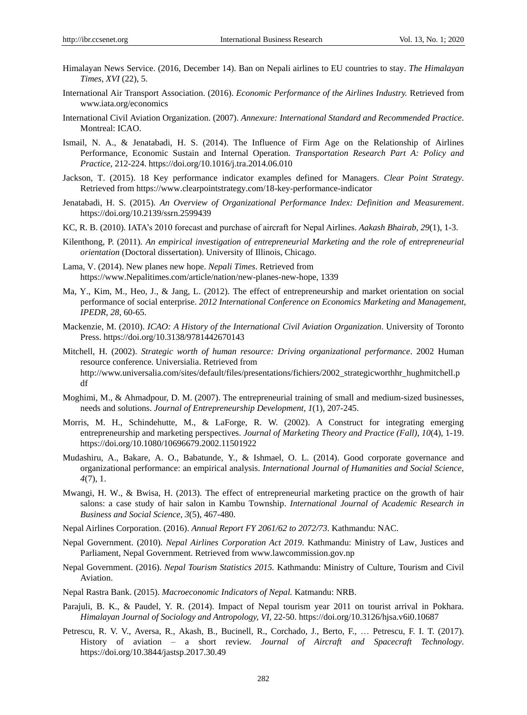- Himalayan News Service. (2016, December 14). Ban on Nepali airlines to EU countries to stay. *The Himalayan Times*, *XVI* (22), 5.
- International Air Transport Association. (2016). *Economic Performance of the Airlines Industry.* Retrieved from www.iata.org/economics
- International Civil Aviation Organization. (2007). *Annexure: International Standard and Recommended Practice*. Montreal: ICAO.
- Ismail, N. A., & Jenatabadi, H. S. (2014). The Influence of Firm Age on the Relationship of Airlines Performance, Economic Sustain and Internal Operation. *Transportation Research Part A: Policy and Practice*, 212-224. https://doi.org/10.1016/j.tra.2014.06.010
- Jackson, T. (2015). 18 Key performance indicator examples defined for Managers. *Clear Point Strategy*. Retrieved from https://www.clearpointstrategy.com/18-key-performance-indicator
- Jenatabadi, H. S. (2015). *An Overview of Organizational Performance Index: Definition and Measurement*. https://doi.org/10.2139/ssrn.2599439
- KC, R. B. (2010). IATA's 2010 forecast and purchase of aircraft for Nepal Airlines. *Aakash Bhairab, 29*(1), 1-3.
- Kilenthong, P. (2011). *An empirical investigation of entrepreneurial Marketing and the role of entrepreneurial orientation* (Doctoral dissertation). University of Illinois, Chicago.
- Lama, V. (2014). New planes new hope. *Nepali Times*. Retrieved from https://www.Nepalitimes.com/article/nation/new-planes-new-hope, 1339
- Ma, Y., Kim, M., Heo, J., & Jang, L. (2012). The effect of entrepreneurship and market orientation on social performance of social enterprise. *2012 International Conference on Economics Marketing and Management, IPEDR, 28*, 60-65.
- Mackenzie, M. (2010). *ICAO: A History of the International Civil Aviation Organization*. University of Toronto Press. https://doi.org/10.3138/9781442670143
- Mitchell, H. (2002). *Strategic worth of human resource: Driving organizational performance*. 2002 Human resource conference. Universialia. Retrieved from http://www.universalia.com/sites/default/files/presentations/fichiers/2002\_strategicworthhr\_hughmitchell.p df
- Moghimi, M., & Ahmadpour, D. M. (2007). The entrepreneurial training of small and medium-sized businesses, needs and solutions. *Journal of Entrepreneurship Development*, *1*(1), 207-245.
- Morris, M. H., Schindehutte, M., & LaForge, R. W. (2002). A Construct for integrating emerging entrepreneurship and marketing perspectives. *Journal of Marketing Theory and Practice (Fall)*, *10*(4), 1-19. https://doi.org/10.1080/10696679.2002.11501922
- Mudashiru, A., Bakare, A. O., Babatunde, Y., & Ishmael, O. L. (2014). Good corporate governance and organizational performance: an empirical analysis. *International Journal of Humanities and Social Science, 4*(7), 1.
- Mwangi, H. W., & Bwisa, H. (2013). The effect of entrepreneurial marketing practice on the growth of hair salons: a case study of hair salon in Kambu Township. *International Journal of Academic Research in Business and Social Science, 3*(5), 467-480.
- Nepal Airlines Corporation. (2016). *Annual Report FY 2061/62 to 2072/73*. Kathmandu: NAC.
- Nepal Government. (2010). *Nepal Airlines Corporation Act 2019*. Kathmandu: Ministry of Law, Justices and Parliament, Nepal Government. Retrieved from www.lawcommission.gov.np
- Nepal Government. (2016). *Nepal Tourism Statistics 2015.* Kathmandu: Ministry of Culture, Tourism and Civil Aviation.
- Nepal Rastra Bank. (2015). *Macroeconomic Indicators of Nepal.* Katmandu: NRB.
- Parajuli, B. K., & Paudel, Y. R. (2014). Impact of Nepal tourism year 2011 on tourist arrival in Pokhara. *Himalayan Journal of Sociology and Antropology, VI*, 22-50. https://doi.org/10.3126/hjsa.v6i0.10687
- Petrescu, R. V. V., Aversa, R., Akash, B., Bucinell, R., Corchado, J., Berto, F., … Petrescu, F. I. T. (2017). History of aviation – a short review. *Journal of Aircraft and Spacecraft Technology*. https://doi.org/10.3844/jastsp.2017.30.49